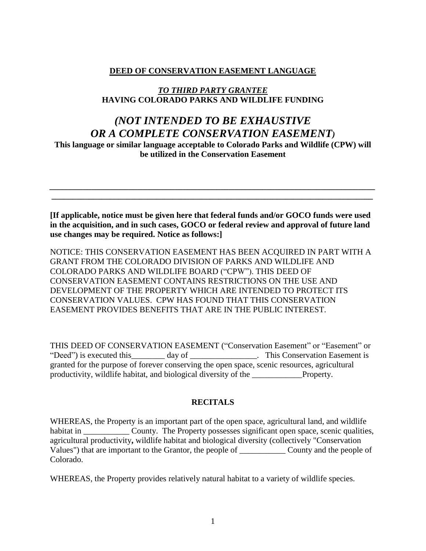## **DEED OF CONSERVATION EASEMENT LANGUAGE**

# *TO THIRD PARTY GRANTEE* **HAVING COLORADO PARKS AND WILDLIFE FUNDING**

# *(NOT INTENDED TO BE EXHAUSTIVE OR A COMPLETE CONSERVATION EASEMENT)*

**This language or similar language acceptable to Colorado Parks and Wildlife (CPW) will be utilized in the Conservation Easement**

*\_\_\_\_\_\_\_\_\_\_\_\_\_\_\_\_\_\_\_\_\_\_\_\_\_\_\_\_\_\_\_\_\_\_\_\_\_\_\_\_\_\_\_\_\_\_\_\_\_\_\_\_\_\_\_\_\_\_\_\_\_\_\_\_\_\_\_\_\_\_\_\_\_\_\_\_\_\_ \_\_\_\_\_\_\_\_\_\_\_\_\_\_\_\_\_\_\_\_\_\_\_\_\_\_\_\_\_\_\_\_\_\_\_\_\_\_\_\_\_\_\_\_\_\_\_\_\_\_\_\_\_\_\_\_\_\_\_\_\_\_\_\_\_\_\_\_\_\_\_\_\_\_\_\_\_*

**[If applicable, notice must be given here that federal funds and/or GOCO funds were used in the acquisition, and in such cases, GOCO or federal review and approval of future land use changes may be required. Notice as follows:]**

NOTICE: THIS CONSERVATION EASEMENT HAS BEEN ACQUIRED IN PART WITH A GRANT FROM THE COLORADO DIVISION OF PARKS AND WILDLIFE AND COLORADO PARKS AND WILDLIFE BOARD ("CPW"). THIS DEED OF CONSERVATION EASEMENT CONTAINS RESTRICTIONS ON THE USE AND DEVELOPMENT OF THE PROPERTY WHICH ARE INTENDED TO PROTECT ITS CONSERVATION VALUES. CPW HAS FOUND THAT THIS CONSERVATION EASEMENT PROVIDES BENEFITS THAT ARE IN THE PUBLIC INTEREST.

THIS DEED OF CONSERVATION EASEMENT ("Conservation Easement" or "Easement" or "Deed") is executed this \_\_\_\_\_\_\_ day of \_\_\_\_\_\_\_\_\_\_\_\_\_\_\_. This Conservation Easement is granted for the purpose of forever conserving the open space, scenic resources, agricultural productivity, wildlife habitat, and biological diversity of the \_\_\_\_\_\_\_\_\_\_\_\_Property.

### **RECITALS**

WHEREAS, the Property is an important part of the open space, agricultural land, and wildlife habitat in County. The Property possesses significant open space, scenic qualities, agricultural productivity**,** wildlife habitat and biological diversity (collectively "Conservation Values") that are important to the Grantor, the people of \_\_\_\_\_\_\_\_\_\_\_ County and the people of Colorado.

WHEREAS, the Property provides relatively natural habitat to a variety of wildlife species.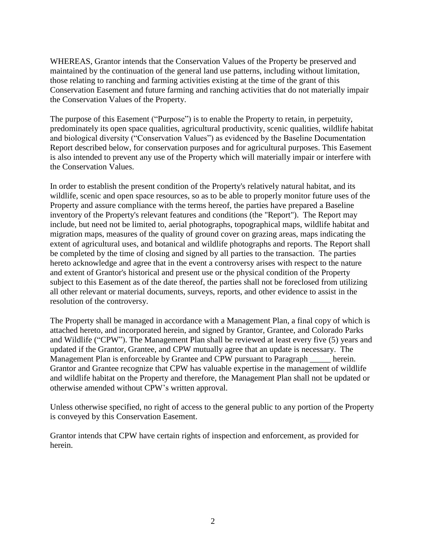WHEREAS, Grantor intends that the Conservation Values of the Property be preserved and maintained by the continuation of the general land use patterns, including without limitation, those relating to ranching and farming activities existing at the time of the grant of this Conservation Easement and future farming and ranching activities that do not materially impair the Conservation Values of the Property.

The purpose of this Easement ("Purpose") is to enable the Property to retain, in perpetuity, predominately its open space qualities, agricultural productivity, scenic qualities, wildlife habitat and biological diversity ("Conservation Values") as evidenced by the Baseline Documentation Report described below, for conservation purposes and for agricultural purposes. This Easement is also intended to prevent any use of the Property which will materially impair or interfere with the Conservation Values.

In order to establish the present condition of the Property's relatively natural habitat, and its wildlife, scenic and open space resources, so as to be able to properly monitor future uses of the Property and assure compliance with the terms hereof, the parties have prepared a Baseline inventory of the Property's relevant features and conditions (the "Report"). The Report may include, but need not be limited to, aerial photographs, topographical maps, wildlife habitat and migration maps, measures of the quality of ground cover on grazing areas, maps indicating the extent of agricultural uses, and botanical and wildlife photographs and reports. The Report shall be completed by the time of closing and signed by all parties to the transaction. The parties hereto acknowledge and agree that in the event a controversy arises with respect to the nature and extent of Grantor's historical and present use or the physical condition of the Property subject to this Easement as of the date thereof, the parties shall not be foreclosed from utilizing all other relevant or material documents, surveys, reports, and other evidence to assist in the resolution of the controversy.

The Property shall be managed in accordance with a Management Plan, a final copy of which is attached hereto, and incorporated herein, and signed by Grantor, Grantee, and Colorado Parks and Wildlife ("CPW"). The Management Plan shall be reviewed at least every five (5) years and updated if the Grantor, Grantee, and CPW mutually agree that an update is necessary. The Management Plan is enforceable by Grantee and CPW pursuant to Paragraph \_\_\_\_\_ herein. Grantor and Grantee recognize that CPW has valuable expertise in the management of wildlife and wildlife habitat on the Property and therefore, the Management Plan shall not be updated or otherwise amended without CPW's written approval.

Unless otherwise specified, no right of access to the general public to any portion of the Property is conveyed by this Conservation Easement.

Grantor intends that CPW have certain rights of inspection and enforcement, as provided for herein.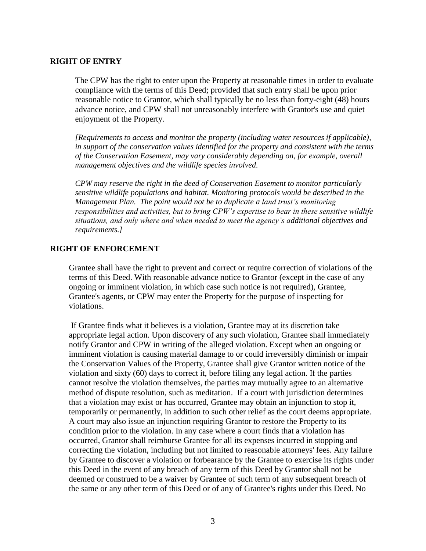#### **RIGHT OF ENTRY**

The CPW has the right to enter upon the Property at reasonable times in order to evaluate compliance with the terms of this Deed; provided that such entry shall be upon prior reasonable notice to Grantor, which shall typically be no less than forty-eight (48) hours advance notice, and CPW shall not unreasonably interfere with Grantor's use and quiet enjoyment of the Property.

*[Requirements to access and monitor the property (including water resources if applicable), in support of the conservation values identified for the property and consistent with the terms of the Conservation Easement, may vary considerably depending on, for example, overall management objectives and the wildlife species involved.* 

*CPW may reserve the right in the deed of Conservation Easement to monitor particularly sensitive wildlife populations and habitat. Monitoring protocols would be described in the Management Plan. The point would not be to duplicate a land trust's monitoring responsibilities and activities, but to bring CPW's expertise to bear in these sensitive wildlife situations, and only where and when needed to meet the agency's additional objectives and requirements.]* 

### **RIGHT OF ENFORCEMENT**

Grantee shall have the right to prevent and correct or require correction of violations of the terms of this Deed. With reasonable advance notice to Grantor (except in the case of any ongoing or imminent violation, in which case such notice is not required), Grantee, Grantee's agents, or CPW may enter the Property for the purpose of inspecting for violations.

If Grantee finds what it believes is a violation, Grantee may at its discretion take appropriate legal action. Upon discovery of any such violation, Grantee shall immediately notify Grantor and CPW in writing of the alleged violation. Except when an ongoing or imminent violation is causing material damage to or could irreversibly diminish or impair the Conservation Values of the Property, Grantee shall give Grantor written notice of the violation and sixty (60) days to correct it, before filing any legal action. If the parties cannot resolve the violation themselves, the parties may mutually agree to an alternative method of dispute resolution, such as meditation. If a court with jurisdiction determines that a violation may exist or has occurred, Grantee may obtain an injunction to stop it, temporarily or permanently, in addition to such other relief as the court deems appropriate. A court may also issue an injunction requiring Grantor to restore the Property to its condition prior to the violation. In any case where a court finds that a violation has occurred, Grantor shall reimburse Grantee for all its expenses incurred in stopping and correcting the violation, including but not limited to reasonable attorneys' fees. Any failure by Grantee to discover a violation or forbearance by the Grantee to exercise its rights under this Deed in the event of any breach of any term of this Deed by Grantor shall not be deemed or construed to be a waiver by Grantee of such term of any subsequent breach of the same or any other term of this Deed or of any of Grantee's rights under this Deed. No